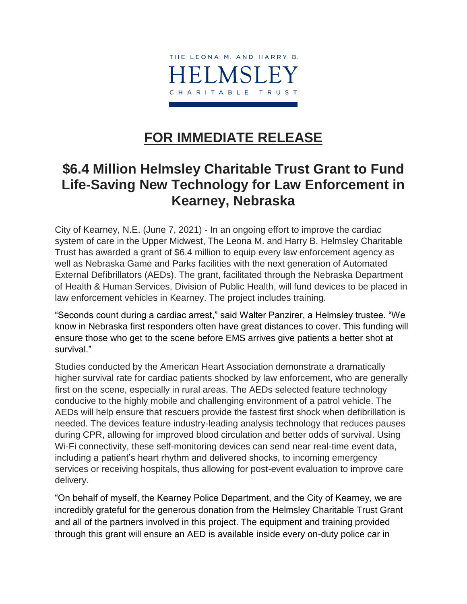

## **FOR IMMEDIATE RELEASE**

## **\$6.4 Million Helmsley Charitable Trust Grant to Fund Life-Saving New Technology for Law Enforcement in Kearney, Nebraska**

City of Kearney, N.E. (June 7, 2021) - In an ongoing effort to improve the cardiac system of care in the Upper Midwest, The Leona M. and Harry B. Helmsley Charitable Trust has awarded a grant of \$6.4 million to equip every law enforcement agency as well as Nebraska Game and Parks facilities with the next generation of Automated External Defibrillators (AEDs). The grant, facilitated through the Nebraska Department of Health & Human Services, Division of Public Health, will fund devices to be placed in law enforcement vehicles in Kearney. The project includes training.

"Seconds count during a cardiac arrest," said Walter Panzirer, a Helmsley trustee. "We know in Nebraska first responders often have great distances to cover. This funding will ensure those who get to the scene before EMS arrives give patients a better shot at survival<sup>"</sup>

Studies conducted by the American Heart Association demonstrate a dramatically higher survival rate for cardiac patients shocked by law enforcement, who are generally first on the scene, especially in rural areas. The AEDs selected feature technology conducive to the highly mobile and challenging environment of a patrol vehicle. The AEDs will help ensure that rescuers provide the fastest first shock when defibrillation is needed. The devices feature industry-leading analysis technology that reduces pauses during CPR, allowing for improved blood circulation and better odds of survival. Using Wi-Fi connectivity, these self-monitoring devices can send near real-time event data, including a patient's heart rhythm and delivered shocks, to incoming emergency services or receiving hospitals, thus allowing for post-event evaluation to improve care delivery.

"On behalf of myself, the Kearney Police Department, and the City of Kearney, we are incredibly grateful for the generous donation from the Helmsley Charitable Trust Grant and all of the partners involved in this project. The equipment and training provided through this grant will ensure an AED is available inside every on-duty police car in